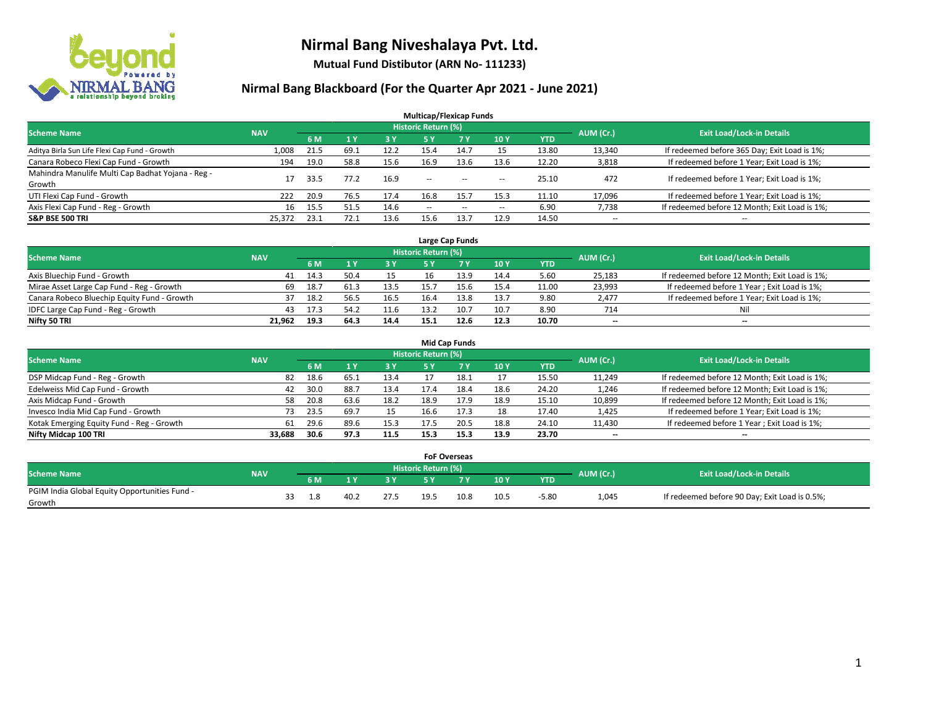

**Mutual Fund Distibutor (ARN No- 111233)**

| <b>Multicap/Flexicap Funds</b>                    |            |      |      |      |                            |                                                |                          |            |                          |                                               |  |  |  |
|---------------------------------------------------|------------|------|------|------|----------------------------|------------------------------------------------|--------------------------|------------|--------------------------|-----------------------------------------------|--|--|--|
| <b>Scheme Name</b>                                | <b>NAV</b> |      |      |      | <b>Historic Return (%)</b> |                                                |                          |            | AUM (Cr.)                | <b>Exit Load/Lock-in Details</b>              |  |  |  |
|                                                   |            | 6 M  | 1Y   | 3 Y  | <b>5Y</b>                  | 7 Y                                            | 10Y                      | <b>YTD</b> |                          |                                               |  |  |  |
| Aditya Birla Sun Life Flexi Cap Fund - Growth     | 1,008      | 21.5 | 69.1 | 12.2 | 15.4                       | 14.7                                           | 15                       | 13.80      | 13,340                   | If redeemed before 365 Day; Exit Load is 1%;  |  |  |  |
| Canara Robeco Flexi Cap Fund - Growth             | 194        | 19.0 | 58.8 | 15.6 | 16.9                       | 13.6                                           | 13.6                     | 12.20      | 3,818                    | If redeemed before 1 Year; Exit Load is 1%;   |  |  |  |
| Mahindra Manulife Multi Cap Badhat Yojana - Reg - | 17         | 33.5 | 77.2 | 16.9 | $\sim$ $\sim$              | $\hspace{0.1mm}-\hspace{0.1mm}-\hspace{0.1mm}$ |                          | 25.10      | 472                      | If redeemed before 1 Year; Exit Load is 1%;   |  |  |  |
| Growth                                            |            |      |      |      |                            |                                                | $\overline{\phantom{a}}$ |            |                          |                                               |  |  |  |
| UTI Flexi Cap Fund - Growth                       | 222        | 20.9 | 76.5 | 17.4 | 16.8                       | 15.7                                           | 15.3                     | 11.10      | 17,096                   | If redeemed before 1 Year; Exit Load is 1%;   |  |  |  |
| Axis Flexi Cap Fund - Reg - Growth                | 16         | 15.5 | 51.5 | 14.6 | $\overline{\phantom{a}}$   | $-$                                            | $\overline{\phantom{a}}$ | 6.90       | 7,738                    | If redeemed before 12 Month; Exit Load is 1%; |  |  |  |
| <b>S&amp;P BSE 500 TRI</b>                        | 25,372     | 23.1 | 72.1 | 13.6 | 15.6                       | 13.7                                           | 12.9                     | 14.50      | $\overline{\phantom{a}}$ | $- -$                                         |  |  |  |

| Large Cap Funds                             |            |      |      |      |                            |      |      |       |           |                                               |  |  |  |
|---------------------------------------------|------------|------|------|------|----------------------------|------|------|-------|-----------|-----------------------------------------------|--|--|--|
| <b>Scheme Name</b>                          | <b>NAV</b> |      |      |      | <b>Historic Return (%)</b> |      |      |       | AUM (Cr.) | <b>Exit Load/Lock-in Details</b>              |  |  |  |
|                                             |            | 6 M  |      | 3 Y  |                            |      | 10Y  | YTD   |           |                                               |  |  |  |
| Axis Bluechip Fund - Growth                 | 41         | 14.5 | 50.4 |      | 16                         | 13.9 | 14.4 | 5.60  | 25,183    | If redeemed before 12 Month; Exit Load is 1%; |  |  |  |
| Mirae Asset Large Cap Fund - Reg - Growth   | 69         | 18.7 | 61.3 | 13.5 |                            |      | 15.4 | 11.00 | 23,993    | If redeemed before 1 Year; Exit Load is 1%;   |  |  |  |
| Canara Robeco Bluechip Equity Fund - Growth |            | 18.2 | 56.5 | 16.5 | 16.4                       | 13.8 | 13.7 | 9.80  | 2,477     | If redeemed before 1 Year; Exit Load is 1%;   |  |  |  |
| IDFC Large Cap Fund - Reg - Growth          | 43         | 17.3 | 54.2 | 11.6 | 13.2                       | 10.7 | 10.7 | 8.90  | 714       | Nil                                           |  |  |  |
| Nifty 50 TRI                                | 21.962     | 19.3 | 64.3 | 14.4 | 15.1                       |      | 12.3 | 10.70 | $- -$     | $-$                                           |  |  |  |

| <b>Mid Cap Funds</b>                      |            |            |                                  |           |      |      |      |            |                          |                                               |  |  |  |  |
|-------------------------------------------|------------|------------|----------------------------------|-----------|------|------|------|------------|--------------------------|-----------------------------------------------|--|--|--|--|
| <b>Scheme Name</b>                        | <b>NAV</b> | AUM (Cr.)  | <b>Exit Load/Lock-in Details</b> |           |      |      |      |            |                          |                                               |  |  |  |  |
|                                           |            | 6 M        |                                  | <b>3Y</b> | 5 Y  |      | 10Y  | <b>YTD</b> |                          |                                               |  |  |  |  |
| DSP Midcap Fund - Reg - Growth            |            | 18.6<br>82 | 65.1                             | 13.4      |      | 18.1 |      | 15.50      | 11,249                   | If redeemed before 12 Month; Exit Load is 1%; |  |  |  |  |
| Edelweiss Mid Cap Fund - Growth           |            | 30.0<br>42 | 88.7                             | 13.4      | 17.4 | 18.4 | 18.6 | 24.20      | 1,246                    | If redeemed before 12 Month; Exit Load is 1%; |  |  |  |  |
| Axis Midcap Fund - Growth                 |            | 20.8<br>58 | 63.6                             | 18.2      | 18.9 | 17.9 | 18.9 | 15.10      | 10,899                   | If redeemed before 12 Month; Exit Load is 1%; |  |  |  |  |
| Invesco India Mid Cap Fund - Growth       |            | 23.5<br>73 | 69.7                             |           | 16.6 | 17.3 | 18   | 17.40      | 1,425                    | If redeemed before 1 Year; Exit Load is 1%;   |  |  |  |  |
| Kotak Emerging Equity Fund - Reg - Growth |            | 29.6<br>61 | 89.6                             | 15.3      | 17.5 | 20.5 | 18.8 | 24.10      | 11,430                   | If redeemed before 1 Year; Exit Load is 1%;   |  |  |  |  |
| Nifty Midcap 100 TRI                      | 33.688     | 30.6       | 97.3                             | 11.5      | 15.3 | 15.3 | 13.9 | 23.70      | $\overline{\phantom{m}}$ | $\overline{\phantom{a}}$                      |  |  |  |  |

|                                                         |            |     |      |      | <b>FoF Overseas</b> |      |      |            |           |                                               |
|---------------------------------------------------------|------------|-----|------|------|---------------------|------|------|------------|-----------|-----------------------------------------------|
| Scheme Name                                             | <b>NAV</b> |     |      |      | Historic Return (%) |      |      |            | AUM (Cr.) | <b>Exit Load/Lock-in Details</b>              |
|                                                         |            | 6 M |      | o v  |                     | 7 V  | 10Y  | <b>YTD</b> |           |                                               |
| PGIM India Global Equity Opportunities Fund -<br>Growth |            |     | 40.2 | 27.5 | 19.5                | 10.8 | 10.5 | $-5.80$    | 1,045     | If redeemed before 90 Day; Exit Load is 0.5%; |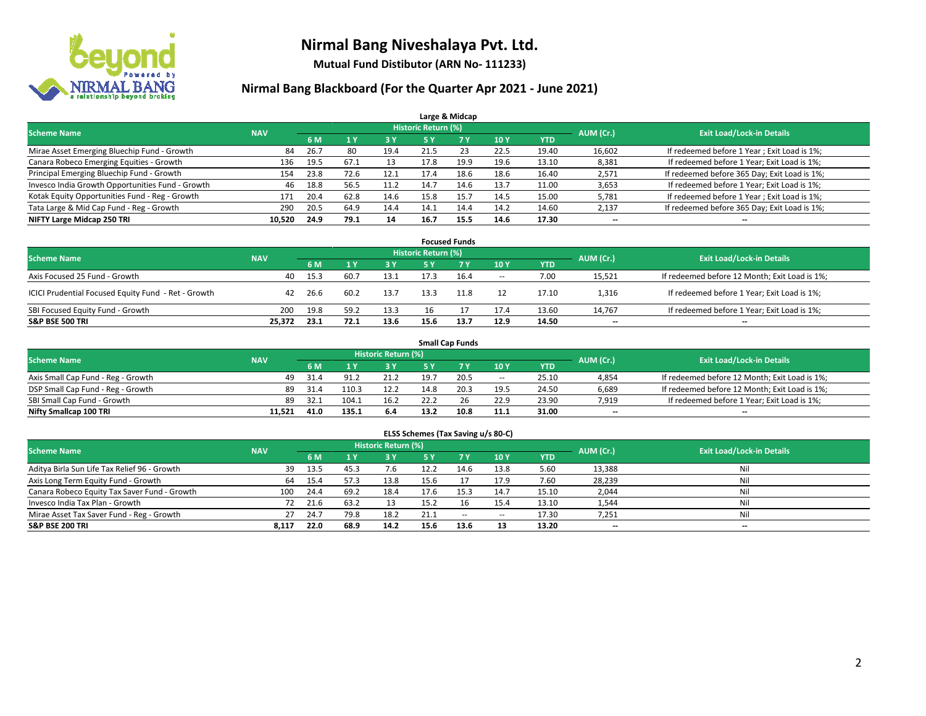

**Mutual Fund Distibutor (ARN No- 111233)**

| Large & Midcap                                   |            |      |      |            |                            |      |      |            |           |                                              |  |  |  |  |
|--------------------------------------------------|------------|------|------|------------|----------------------------|------|------|------------|-----------|----------------------------------------------|--|--|--|--|
| <b>Scheme Name</b>                               | <b>NAV</b> |      |      |            | <b>Historic Return (%)</b> |      |      |            | AUM (Cr.) | <b>Exit Load/Lock-in Details</b>             |  |  |  |  |
|                                                  |            | 6 M  |      | <b>3 Y</b> | 5 Y                        | 7 Y  | 10Y  | <b>YTD</b> |           |                                              |  |  |  |  |
| Mirae Asset Emerging Bluechip Fund - Growth      | 84         | 26.7 | -80  | 19.4       | 21.5                       | 23   | 22.5 | 19.40      | 16,602    | If redeemed before 1 Year; Exit Load is 1%;  |  |  |  |  |
| Canara Robeco Emerging Equities - Growth         | 136        | 19.5 | 67.1 | 13         | 17.8                       | 19.9 | 19.6 | 13.10      | 8,381     | If redeemed before 1 Year; Exit Load is 1%;  |  |  |  |  |
| Principal Emerging Bluechip Fund - Growth        | 154        | 23.8 | 72.6 | 12.1       | 17.4                       | 18.6 | 18.6 | 16.40      | 2,571     | If redeemed before 365 Day; Exit Load is 1%; |  |  |  |  |
| Invesco India Growth Opportunities Fund - Growth | 46         | 18.8 | 56.5 | 11.2       | 14.7                       | 14.6 | 13.7 | 11.00      | 3,653     | If redeemed before 1 Year; Exit Load is 1%;  |  |  |  |  |
| Kotak Equity Opportunities Fund - Reg - Growth   | 171        | 20.4 | 62.8 | 14.6       | 15.8                       | 15.7 | 14.5 | 15.00      | 5,781     | If redeemed before 1 Year; Exit Load is 1%;  |  |  |  |  |
| Tata Large & Mid Cap Fund - Reg - Growth         | 290        | 20.5 | 64.9 | 14.4       | 14.1                       | 14.4 | 14.2 | 14.60      | 2,137     | If redeemed before 365 Day; Exit Load is 1%; |  |  |  |  |
| NIFTY Large Midcap 250 TRI                       | 10.520     | 24.9 | 79.1 | 14         | 16.7                       | 15.5 | 14.6 | 17.30      | --        | --                                           |  |  |  |  |

| <b>Focused Funds</b>                                |            |      |      |      |                     |      |        |            |           |                                               |  |  |  |
|-----------------------------------------------------|------------|------|------|------|---------------------|------|--------|------------|-----------|-----------------------------------------------|--|--|--|
| <b>Scheme Name</b>                                  | <b>NAV</b> |      |      |      | Historic Return (%) |      |        |            | AUM (Cr.) | <b>Exit Load/Lock-in Details</b>              |  |  |  |
|                                                     |            | 6 M  |      | 3 Y  | 5 Y                 |      | 10Y    | <b>YTD</b> |           |                                               |  |  |  |
| Axis Focused 25 Fund - Growth                       | 40         | 15.3 | 60.7 | 13.1 | 17.3                | 16.4 | $\sim$ | 7.00       | 15,521    | If redeemed before 12 Month; Exit Load is 1%; |  |  |  |
| ICICI Prudential Focused Equity Fund - Ret - Growth | 42         | 26.6 | 60.2 | 13.7 | 13.3                | 11.8 | 12     | 17.10      | 1,316     | If redeemed before 1 Year; Exit Load is 1%;   |  |  |  |
| SBI Focused Equity Fund - Growth                    | 200        | 19.8 | 59.2 | 13.3 | 16                  |      | 17.4   | 13.60      | 14.767    | If redeemed before 1 Year; Exit Load is 1%;   |  |  |  |
| <b>S&amp;P BSE 500 TRI</b>                          | 25.372     | 23.1 | 72.1 | 13.6 | 15.6                | 13.7 | 12.9   | 14.50      | $- -$     | $\overline{\phantom{a}}$                      |  |  |  |

| <b>Small Cap Funds</b>             |            |           |                                  |      |      |      |                          |       |                          |                                               |  |  |  |
|------------------------------------|------------|-----------|----------------------------------|------|------|------|--------------------------|-------|--------------------------|-----------------------------------------------|--|--|--|
| <b>Scheme Name</b>                 | <b>NAV</b> | AUM (Cr.) | <b>Exit Load/Lock-in Details</b> |      |      |      |                          |       |                          |                                               |  |  |  |
|                                    |            | 6 M       |                                  | 3 Y  | 5 V  |      | 10Y                      | YTD   |                          |                                               |  |  |  |
| Axis Small Cap Fund - Reg - Growth | 49         | 31.4      | 91.2                             | 21.2 | 19.  | 20.5 | $\hspace{0.05cm} \cdots$ | 25.10 | 4,854                    | If redeemed before 12 Month; Exit Load is 1%; |  |  |  |
| DSP Small Cap Fund - Reg - Growth  | 89         | 31.4      | 110.3                            | 12.2 | 14.8 | 20.3 | 19.5                     | 24.50 | 6,689                    | If redeemed before 12 Month; Exit Load is 1%; |  |  |  |
| SBI Small Cap Fund - Growth        | 89         | 32.1      | 104.                             | 16.2 | 22.2 |      | 22.9                     | 23.90 | 7.919                    | If redeemed before 1 Year; Exit Load is 1%;   |  |  |  |
| Nifty Smallcap 100 TRI             | 11.521     | 41.0      | 135.1                            | 6.4  | 13.2 | 10.8 | 11.1                     | 31.00 | $\overline{\phantom{a}}$ | --                                            |  |  |  |

| ELSS Schemes (Tax Saving u/s 80-C)                                                                              |       |      |      |      |           |           |       |            |        |                          |  |  |  |  |
|-----------------------------------------------------------------------------------------------------------------|-------|------|------|------|-----------|-----------|-------|------------|--------|--------------------------|--|--|--|--|
| <b>Historic Return (%)</b><br><b>Exit Load/Lock-in Details</b><br><b>Scheme Name</b><br>AUM (Cr.)<br><b>NAV</b> |       |      |      |      |           |           |       |            |        |                          |  |  |  |  |
|                                                                                                                 |       | 6 M  | 1Y   | 3 Y  | <b>5Y</b> | <b>7Y</b> | 10Y   | <b>YTD</b> |        |                          |  |  |  |  |
| Aditya Birla Sun Life Tax Relief 96 - Growth                                                                    | 39    | 13.5 | 45.3 | 7.6  | 12.2      | 14.6      | 13.8  | 5.60       | 13,388 | Nil                      |  |  |  |  |
| Axis Long Term Equity Fund - Growth                                                                             | 64    | 15.4 | 57.3 | 13.8 | 15.6      |           | 17.9  | 7.60       | 28,239 | Nil                      |  |  |  |  |
| Canara Robeco Equity Tax Saver Fund - Growth                                                                    | 100   | 24.4 | 69.2 | 18.4 | 17.6      | 15.3      | 14.7  | 15.10      | 2,044  | Nil                      |  |  |  |  |
| Invesco India Tax Plan - Growth                                                                                 | 72    | 21.6 | 63.2 | 13   | 15.2      |           | 15.4  | 13.10      | 1,544  | Nil                      |  |  |  |  |
| Mirae Asset Tax Saver Fund - Reg - Growth                                                                       | 27    | 24.7 | 79.8 | 18.2 | 21.1      | $\sim$    | $\!-$ | 17.30      | 7,251  | Nil                      |  |  |  |  |
| S&P BSE 200 TRI                                                                                                 | 8.117 | 22.0 | 68.9 | 14.2 | 15.6      | 13.6      | 13    | 13.20      | $- -$  | $\overline{\phantom{a}}$ |  |  |  |  |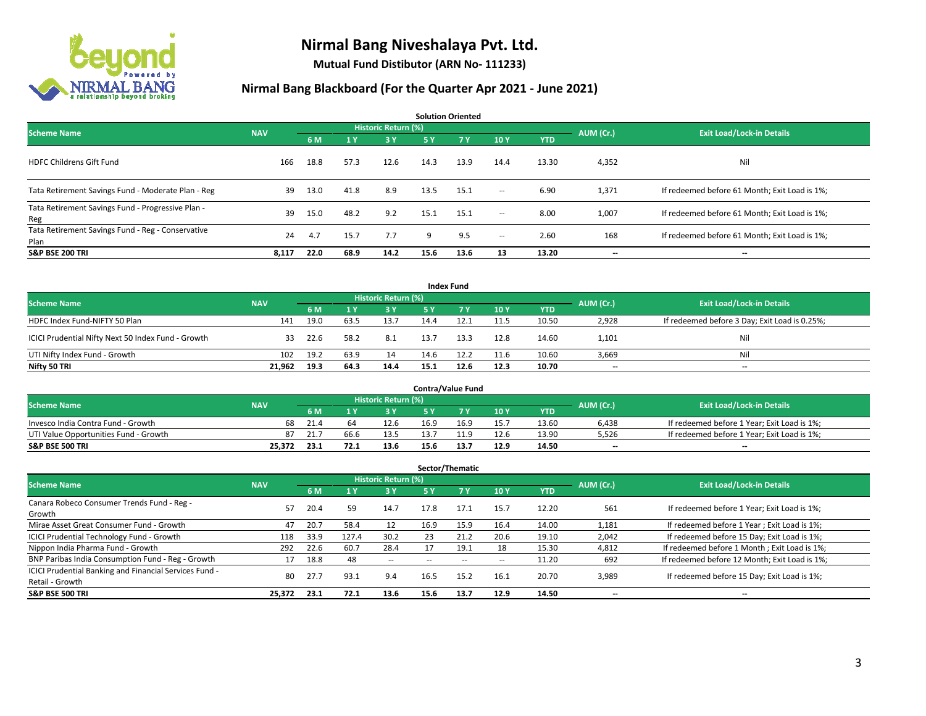

**Mutual Fund Distibutor (ARN No- 111233)**

| <b>Solution Oriented</b>                                  |            |      |                |                            |      |           |                          |            |           |                                               |  |  |
|-----------------------------------------------------------|------------|------|----------------|----------------------------|------|-----------|--------------------------|------------|-----------|-----------------------------------------------|--|--|
| <b>Scheme Name</b>                                        | <b>NAV</b> |      |                | <b>Historic Return (%)</b> |      |           |                          |            | AUM (Cr.) | <b>Exit Load/Lock-in Details</b>              |  |  |
|                                                           |            | 6 M  | 1 <sup>1</sup> | 73 Y.                      | 5 Y  | <b>7Y</b> | 10Y                      | <b>YTD</b> |           |                                               |  |  |
| <b>HDFC Childrens Gift Fund</b>                           | 166        | 18.8 | 57.3           | 12.6                       | 14.3 | 13.9      | 14.4                     | 13.30      | 4,352     | Nil                                           |  |  |
| Tata Retirement Savings Fund - Moderate Plan - Reg        | 39         | 13.0 | 41.8           | 8.9                        | 13.5 | 15.1      | $\sim$                   | 6.90       | 1,371     | If redeemed before 61 Month; Exit Load is 1%; |  |  |
| Tata Retirement Savings Fund - Progressive Plan -<br>Reg  | 39         | 15.0 | 48.2           | 9.2                        | 15.1 | 15.1      | $\sim$                   | 8.00       | 1,007     | If redeemed before 61 Month; Exit Load is 1%; |  |  |
| Tata Retirement Savings Fund - Reg - Conservative<br>Plan | 24         | 4.7  | 15.7           | 7.7                        | 9    | 9.5       | $\overline{\phantom{a}}$ | 2.60       | 168       | If redeemed before 61 Month; Exit Load is 1%; |  |  |
| <b>S&amp;P BSE 200 TRI</b>                                | 8,117      | 22.0 | 68.9           | 14.2                       | 15.6 | 13.6      | 13                       | 13.20      | --        | $\hspace{0.05cm}$                             |  |  |

|                                                    |            |                                  |      |           |      | <b>Index Fund</b> |      |            |       |                                               |
|----------------------------------------------------|------------|----------------------------------|------|-----------|------|-------------------|------|------------|-------|-----------------------------------------------|
| <b>Scheme Name</b>                                 | AUM (Cr.)  | <b>Exit Load/Lock-in Details</b> |      |           |      |                   |      |            |       |                                               |
|                                                    | <b>NAV</b> | 6 M                              |      | <b>3Y</b> | 5 Y  | <b>7Y</b>         | 10Y  | <b>YTD</b> |       |                                               |
| HDFC Index Fund-NIFTY 50 Plan                      | 141        | 19.0                             | 63.5 | 13.7      | 14.4 | 12.1              | 11.5 | 10.50      | 2,928 | If redeemed before 3 Day; Exit Load is 0.25%; |
| ICICI Prudential Nifty Next 50 Index Fund - Growth | 33         | 22.6                             | 58.2 | 8.1       | 13.7 | 13.3              | 12.8 | 14.60      | 1,101 | Nil                                           |
| UTI Nifty Index Fund - Growth                      | 102        | 19.2                             | 63.9 | 14        | 14.6 | 12.2              | 11.6 | 10.60      | 3,669 | Nil                                           |
| Nifty 50 TRI                                       | 21,962     | 19.3                             | 64.3 | 14.4      | 15.1 | 12.6              | 12.3 | 10.70      | $- -$ | $\overline{\phantom{a}}$                      |

|                                       |            |      |      |                     |      | <b>Contra/Value Fund</b> |      |       |           |                                             |
|---------------------------------------|------------|------|------|---------------------|------|--------------------------|------|-------|-----------|---------------------------------------------|
| <b>Scheme Name</b>                    | <b>NAV</b> |      |      | Historic Return (%) |      |                          |      |       | AUM (Cr.) | <b>Exit Load/Lock-in Details</b>            |
|                                       |            | 6 M  |      | 3 Y                 |      |                          | 10Y  | YTD   |           |                                             |
| Invesco India Contra Fund - Growth    | 68         | 21.4 | 64   | 12.6                | 16.9 | 16.9                     | 15.7 | 13.60 | 6,438     | If redeemed before 1 Year; Exit Load is 1%; |
| UTI Value Opportunities Fund - Growth | 87         | 21.7 | 66.6 | 13.5                | 13.7 | 11.9                     | 12.6 | 13.90 | 5,526     | If redeemed before 1 Year; Exit Load is 1%; |
| <b>S&amp;P BSE 500 TRI</b>            | 25.372     | 23.1 |      | 13.6                | 15.6 | 13.7                     | 12.9 | 14.50 | $-$       | $- -$                                       |

|                                                                           |            |      |                |                          |      | Sector/Thematic |      |            |           |                                               |
|---------------------------------------------------------------------------|------------|------|----------------|--------------------------|------|-----------------|------|------------|-----------|-----------------------------------------------|
| <b>Scheme Name</b>                                                        | <b>NAV</b> |      |                | Historic Return (%)      |      |                 |      |            | AUM (Cr.) | <b>Exit Load/Lock-in Details</b>              |
|                                                                           |            | 6 M  | 1 <sub>Y</sub> | 3 Y                      | 5 Y  | 7Y              | 10Y  | <b>YTD</b> |           |                                               |
| Canara Robeco Consumer Trends Fund - Reg -<br>Growth                      | 57         | 20.4 | 59             | 14.7                     | 17.8 | 17.1            | 15.7 | 12.20      | 561       | If redeemed before 1 Year; Exit Load is 1%;   |
| Mirae Asset Great Consumer Fund - Growth                                  | 47         | 20.7 | 58.4           | 12                       | 16.9 | 15.9            | 16.4 | 14.00      | 1,181     | If redeemed before 1 Year; Exit Load is 1%;   |
| <b>ICICI Prudential Technology Fund - Growth</b>                          | 118        | 33.9 | 127.4          | 30.2                     | 23   | 21.2            | 20.6 | 19.10      | 2,042     | If redeemed before 15 Day; Exit Load is 1%;   |
| Nippon India Pharma Fund - Growth                                         | 292        | 22.6 | 60.7           | 28.4                     |      | 19.1            | 18   | 15.30      | 4,812     | If redeemed before 1 Month; Exit Load is 1%;  |
| BNP Paribas India Consumption Fund - Reg - Growth                         |            | 18.8 | 48             | $\overline{\phantom{a}}$ |      |                 | --   | 11.20      | 692       | If redeemed before 12 Month; Exit Load is 1%; |
| ICICI Prudential Banking and Financial Services Fund -<br>Retail - Growth | 80         | 27.7 | 93.1           | 9.4                      | 16.5 | 15.2            | 16.1 | 20.70      | 3,989     | If redeemed before 15 Day; Exit Load is 1%;   |
| <b>S&amp;P BSE 500 TRI</b>                                                | 25,372     | 23.1 | 72.1           | 13.6                     | 15.6 | 13.7            | 12.9 | 14.50      | --        | --                                            |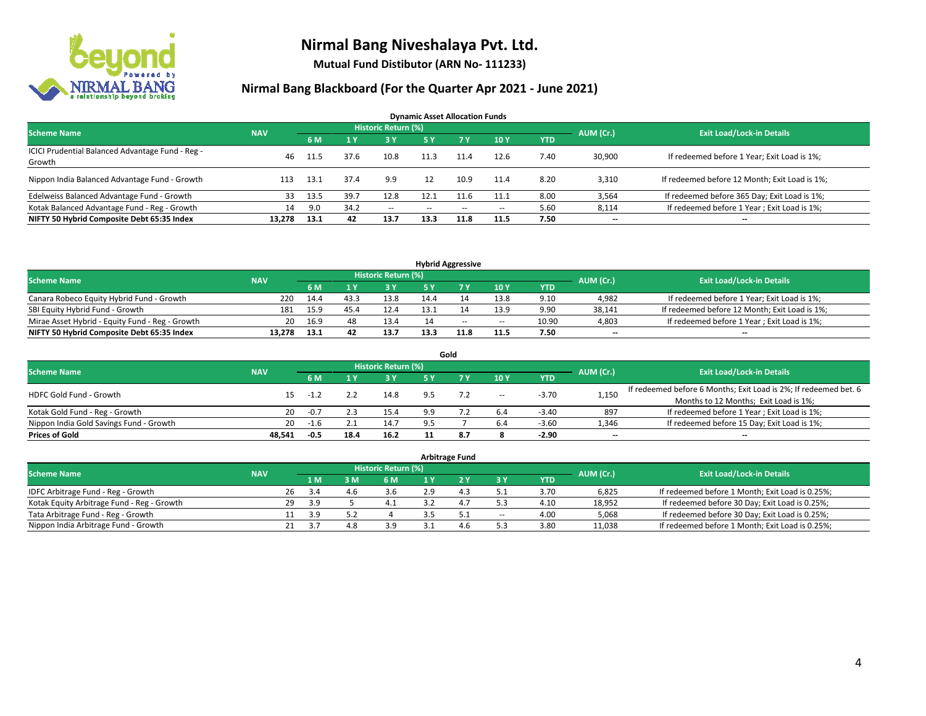

**Mutual Fund Distibutor (ARN No- 111233)**

| <b>Dynamic Asset Allocation Funds</b>                      |            |      |      |                            |      |       |                          |            |           |                                               |  |  |  |
|------------------------------------------------------------|------------|------|------|----------------------------|------|-------|--------------------------|------------|-----------|-----------------------------------------------|--|--|--|
| <b>Scheme Name</b>                                         | <b>NAV</b> |      |      | <b>Historic Return (%)</b> |      |       |                          |            | AUM (Cr.) | <b>Exit Load/Lock-in Details</b>              |  |  |  |
|                                                            |            | 6 M  |      | 3 Y                        | 5 Y  | 7 Y   | 10Y                      | <b>YTD</b> |           |                                               |  |  |  |
| ICICI Prudential Balanced Advantage Fund - Reg -<br>Growth | 46         | 11.5 | 37.6 | 10.8                       | 11.3 | 11.4  | 12.6                     | 7.40       | 30,900    | If redeemed before 1 Year; Exit Load is 1%;   |  |  |  |
| Nippon India Balanced Advantage Fund - Growth              | 113        | 13.1 | 37.4 | 9.9                        | 12   | 10.9  | 11.4                     | 8.20       | 3,310     | If redeemed before 12 Month; Exit Load is 1%; |  |  |  |
| Edelweiss Balanced Advantage Fund - Growth                 | 33         | 13.5 | 39.7 | 12.8                       | 12.1 | 11.6  | 11.1                     | 8.00       | 3,564     | If redeemed before 365 Day; Exit Load is 1%;  |  |  |  |
| Kotak Balanced Advantage Fund - Reg - Growth               | 14         | 9.0  | 34.2 | $\sim$                     | --   | $- -$ | $\overline{\phantom{a}}$ | 5.60       | 8,114     | If redeemed before 1 Year; Exit Load is 1%;   |  |  |  |
| NIFTY 50 Hybrid Composite Debt 65:35 Index                 | 13.278     | 13.1 | 42   | 13.7                       | 13.3 | 11.8  | 11.5                     | 7.50       | $- -$     | --                                            |  |  |  |

| <b>Hybrid Aggressive</b>                        |            |      |      |                            |      |        |        |            |           |                                               |  |  |  |
|-------------------------------------------------|------------|------|------|----------------------------|------|--------|--------|------------|-----------|-----------------------------------------------|--|--|--|
| <b>Scheme Name</b>                              | <b>NAV</b> |      |      | <b>Historic Return (%)</b> |      |        |        |            | AUM (Cr.) | <b>Exit Load/Lock-in Details</b>              |  |  |  |
|                                                 |            | 6 M  |      | י כ                        |      |        | 10Y    | <b>YTD</b> |           |                                               |  |  |  |
| Canara Robeco Equity Hybrid Fund - Growth       | 220        | 14.4 | 43.3 | 13.8                       | 14.4 |        | 13.8   | 9.10       | 4,982     | If redeemed before 1 Year; Exit Load is 1%;   |  |  |  |
| SBI Equity Hybrid Fund - Growth                 | 181        | 15.9 | 45.4 | 12.4                       | 13.1 |        | 13.9   | 9.90       | 38.141    | If redeemed before 12 Month; Exit Load is 1%; |  |  |  |
| Mirae Asset Hybrid - Equity Fund - Reg - Growth | 20         | 16.9 | 48   | 13.4                       |      | $\sim$ | $\sim$ | 10.90      | 4,803     | If redeemed before 1 Year; Exit Load is 1%;   |  |  |  |
| NIFTY 50 Hybrid Composite Debt 65:35 Index      | 13.278     | 13.1 | 42   | 13.7                       | 13.3 | 11.8   | 11.5   | 7.50       | $-$       | $-$                                           |  |  |  |

| Gold                                    |            |        |      |                            |     |           |                          |            |                          |                                                                  |  |  |  |  |
|-----------------------------------------|------------|--------|------|----------------------------|-----|-----------|--------------------------|------------|--------------------------|------------------------------------------------------------------|--|--|--|--|
| <b>Scheme Name</b>                      | <b>NAV</b> |        |      | <b>Historic Return (%)</b> |     |           |                          |            | AUM (Cr.)                | <b>Exit Load/Lock-in Details</b>                                 |  |  |  |  |
|                                         |            | 6 M    |      | <b>3Y</b>                  | 5 Y | <b>7V</b> | 10Y                      | <b>YTD</b> |                          |                                                                  |  |  |  |  |
| HDFC Gold Fund - Growth                 | 15         |        |      | 14.8                       |     |           | $\overline{\phantom{a}}$ | $-3.70$    | 1,150                    | If redeemed before 6 Months; Exit Load is 2%; If redeemed bet. 6 |  |  |  |  |
|                                         |            | -1.4   |      |                            |     |           |                          |            |                          | Months to 12 Months; Exit Load is 1%;                            |  |  |  |  |
| Kotak Gold Fund - Reg - Growth          | 20         | $-0.7$ |      | 15.4                       | 9.9 |           | 6.4                      | $-3.40$    | 897                      | If redeemed before 1 Year; Exit Load is 1%;                      |  |  |  |  |
| Nippon India Gold Savings Fund - Growth | 20         | $-1.6$ |      | 14.7                       |     |           | 6.4                      | $-3.60$    | 1,346                    | If redeemed before 15 Day; Exit Load is 1%;                      |  |  |  |  |
| <b>Prices of Gold</b>                   | 48.541     | $-0.5$ | 18.4 | 16.2                       |     |           |                          | $-2.90$    | $\overline{\phantom{a}}$ | --                                                               |  |  |  |  |

| <b>Arbitrage Fund</b>                      |            |    |           |                                  |     |  |     |                          |            |        |                                                 |  |  |  |
|--------------------------------------------|------------|----|-----------|----------------------------------|-----|--|-----|--------------------------|------------|--------|-------------------------------------------------|--|--|--|
| <b>Scheme Name</b>                         | <b>NAV</b> |    | AUM (Cr.) | <b>Exit Load/Lock-in Details</b> |     |  |     |                          |            |        |                                                 |  |  |  |
|                                            |            |    | 1 M       | 3M                               | 6 M |  |     | 3 Y                      | <b>YTD</b> |        |                                                 |  |  |  |
| IDFC Arbitrage Fund - Reg - Growth         |            | 26 | 3.4       | 4.6                              | 3.6 |  | 4.3 |                          | 3.70       | 6,825  | If redeemed before 1 Month; Exit Load is 0.25%; |  |  |  |
| Kotak Equity Arbitrage Fund - Reg - Growth |            | 29 | 3.9       |                                  | 4.1 |  | 4.7 |                          | 4.10       | 18.952 | If redeemed before 30 Day; Exit Load is 0.25%;  |  |  |  |
| Tata Arbitrage Fund - Reg - Growth         |            |    | 3.9       |                                  |     |  | 5.1 | $\overline{\phantom{a}}$ | 4.00       | 5,068  | If redeemed before 30 Day; Exit Load is 0.25%;  |  |  |  |
| Nippon India Arbitrage Fund - Growth       |            | 21 | -3.7      | $\circ$<br>4.ŏ                   | 3.9 |  | 4.b |                          | 3.80       | 11,038 | If redeemed before 1 Month; Exit Load is 0.25%; |  |  |  |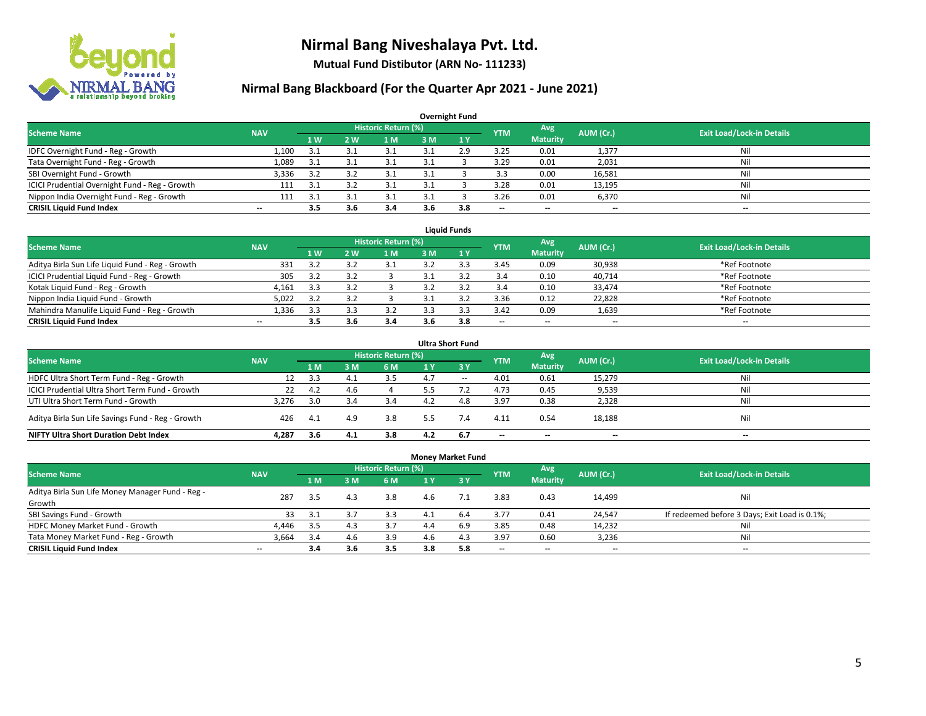

**Mutual Fund Distibutor (ARN No- 111233)**

| <b>Overnight Fund</b>                          |                          |     |     |                            |     |     |            |                          |           |                                  |  |  |  |  |
|------------------------------------------------|--------------------------|-----|-----|----------------------------|-----|-----|------------|--------------------------|-----------|----------------------------------|--|--|--|--|
| <b>Scheme Name</b>                             | <b>NAV</b>               |     |     | <b>Historic Return (%)</b> |     |     | <b>YTM</b> | Avg                      | AUM (Cr.) | <b>Exit Load/Lock-in Details</b> |  |  |  |  |
|                                                |                          | 1 W | 2 W | l M                        | 3 M | 1Y  |            | <b>Maturity</b>          |           |                                  |  |  |  |  |
| IDFC Overnight Fund - Reg - Growth             | 1,100                    | 3.1 |     | 3.1                        |     | 2.9 | 3.25       | 0.01                     | 1,377     | Nil                              |  |  |  |  |
| Tata Overnight Fund - Reg - Growth             | 1,089                    | 3.1 | 3.1 | 3.1                        |     |     | 3.29       | 0.01                     | 2,031     | Nil                              |  |  |  |  |
| SBI Overnight Fund - Growth                    | 3,336                    | 3.2 | 3.2 | 3.1                        |     |     | 3.3        | 0.00                     | 16,581    | Nil                              |  |  |  |  |
| ICICI Prudential Overnight Fund - Reg - Growth | 111                      | 3.1 |     |                            |     |     | 3.28       | 0.01                     | 13,195    | Nil                              |  |  |  |  |
| Nippon India Overnight Fund - Reg - Growth     | 111                      | 3.1 |     |                            |     |     | 3.26       | 0.01                     | 6,370     | Nil                              |  |  |  |  |
| <b>CRISIL Liquid Fund Index</b>                | $\overline{\phantom{a}}$ | 3.5 | 3.6 | 3.4                        | 3.6 | 3.8 | --         | $\overline{\phantom{a}}$ | $- -$     | $-$                              |  |  |  |  |

| <b>Liauid Funds</b>                              |            |     |            |                     |     |     |                          |                          |           |                                  |  |  |  |
|--------------------------------------------------|------------|-----|------------|---------------------|-----|-----|--------------------------|--------------------------|-----------|----------------------------------|--|--|--|
| Scheme Name                                      | <b>NAV</b> |     |            | Historic Return (%) |     |     | <b>YTM</b>               | Avg                      | AUM (Cr.) | <b>Exit Load/Lock-in Details</b> |  |  |  |
|                                                  |            | 1 W | <b>2 W</b> | 1 M                 | зM  |     |                          | <b>Maturity</b>          |           |                                  |  |  |  |
| Aditya Birla Sun Life Liquid Fund - Reg - Growth | 331        | 2.1 |            |                     |     |     | 3.45                     | 0.09                     | 30,938    | *Ref Footnote                    |  |  |  |
| ICICI Prudential Liquid Fund - Reg - Growth      | 305        | 3.2 |            |                     |     |     | 3.4                      | 0.10                     | 40,714    | *Ref Footnote                    |  |  |  |
| Kotak Liquid Fund - Reg - Growth                 | 4,161      | 3.3 |            |                     |     |     | 3.4                      | 0.10                     | 33,474    | *Ref Footnote                    |  |  |  |
| Nippon India Liquid Fund - Growth                | 5,022      | 33  |            |                     |     |     | 3.36                     | 0.12                     | 22,828    | *Ref Footnote                    |  |  |  |
| Mahindra Manulife Liquid Fund - Reg - Growth     | 1,336      | 3.3 |            | 3.2                 |     |     | 3.42                     | 0.09                     | 1,639     | *Ref Footnote                    |  |  |  |
| <b>CRISIL Liquid Fund Index</b>                  | $- -$      | 3.5 | 3.b        | 3.4                 | 3.6 | 3.8 | $\overline{\phantom{a}}$ | $\overline{\phantom{a}}$ | $- -$     | $- -$                            |  |  |  |

| <b>Ultra Short Fund</b>                           |            |     |     |                            |     |        |            |                 |           |                                  |  |  |  |
|---------------------------------------------------|------------|-----|-----|----------------------------|-----|--------|------------|-----------------|-----------|----------------------------------|--|--|--|
| <b>Scheme Name</b>                                | <b>NAV</b> |     |     | <b>Historic Return (%)</b> |     |        | <b>YTM</b> | Avg             | AUM (Cr.) | <b>Exit Load/Lock-in Details</b> |  |  |  |
|                                                   |            | 1 M | 3 M | 6 M                        | 1 Y | -3 Y   |            | <b>Maturity</b> |           |                                  |  |  |  |
| HDFC Ultra Short Term Fund - Reg - Growth         | 12         | 3.3 | 4.1 | 3.5                        | 4.7 | $\sim$ | 4.01       | 0.61            | 15,279    | Nil                              |  |  |  |
| ICICI Prudential Ultra Short Term Fund - Growth   | 22         | 4.2 | 4.b |                            | 5.5 |        | 4.73       | 0.45            | 9,539     | Nil                              |  |  |  |
| UTI Ultra Short Term Fund - Growth                | 3.276      | 3.0 |     | 3.4                        |     | 4.8    | 3.97       | 0.38            | 2,328     | Nil                              |  |  |  |
| Aditya Birla Sun Life Savings Fund - Reg - Growth | 426        | 4.1 | 4.9 | 3.8                        | 5.5 | 7.4    | 4.11       | 0.54            | 18,188    | Nil                              |  |  |  |
| <b>NIFTY Ultra Short Duration Debt Index</b>      | 4.287      | 3.6 | 4.1 | 3.8                        | 4.2 | 6.7    | $- -$      | $- -$           | $- -$     | $\overline{\phantom{a}}$         |  |  |  |

| <b>Money Market Fund</b>                         |                          |     |     |                            |                |           |            |                 |           |                                               |  |  |  |  |
|--------------------------------------------------|--------------------------|-----|-----|----------------------------|----------------|-----------|------------|-----------------|-----------|-----------------------------------------------|--|--|--|--|
| <b>Scheme Name</b>                               | <b>NAV</b>               |     |     | <b>Historic Return (%)</b> |                |           | <b>YTM</b> | Avg             | AUM (Cr.) | <b>Exit Load/Lock-in Details</b>              |  |  |  |  |
|                                                  |                          | 1 M | 3M  | <b>6M</b>                  | 1 <sub>Y</sub> | $Z$ 3 $V$ |            | <b>Maturity</b> |           |                                               |  |  |  |  |
| Aditya Birla Sun Life Money Manager Fund - Reg - | 287                      | 3.5 | 4.3 | 3.8                        | 4.6            |           | 3.83       | 0.43            | 14,499    | Nil                                           |  |  |  |  |
| Growth                                           |                          |     |     |                            |                |           |            |                 |           |                                               |  |  |  |  |
| SBI Savings Fund - Growth                        | 33                       | 3.1 | 3.7 | 3.3                        | 4.1            | 6.4       | 3.77       | 0.41            | 24,547    | If redeemed before 3 Days; Exit Load is 0.1%; |  |  |  |  |
| HDFC Money Market Fund - Growth                  | 4,446                    | 3.5 | 4.3 | 3.7                        | 4.4            | 6.9       | 3.85       | 0.48            | 14,232    | Nil                                           |  |  |  |  |
| Tata Money Market Fund - Reg - Growth            | 3,664                    | 3.4 | 4.6 | 3.9                        | 4.6            | 4.3       | 3.97       | 0.60            | 3,236     | Nil                                           |  |  |  |  |
| <b>CRISIL Liquid Fund Index</b>                  | $\overline{\phantom{a}}$ | 3.4 | 3.6 | 3.5                        | 3.8            | 5.8       | --         | $- -$           | $- -$     | $-$                                           |  |  |  |  |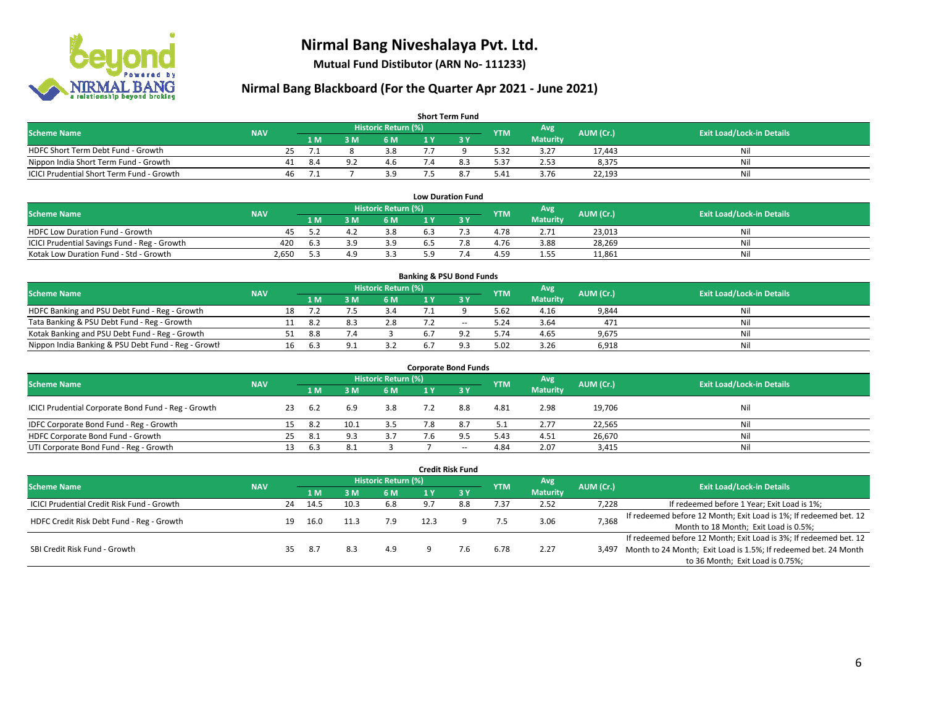

**Mutual Fund Distibutor (ARN No- 111233)**

| <b>Short Term Fund</b>                    |            |    |      |     |                            |     |  |            |                 |           |                                  |  |  |  |
|-------------------------------------------|------------|----|------|-----|----------------------------|-----|--|------------|-----------------|-----------|----------------------------------|--|--|--|
| <b>Scheme Name</b>                        | <b>NAV</b> |    |      |     | <b>Historic Return (%)</b> |     |  | <b>YTM</b> | Avg             | AUM (Cr.) | <b>Exit Load/Lock-in Details</b> |  |  |  |
|                                           |            |    | 1 M. | 3 M | 6 M                        | 1 V |  |            | <b>Maturity</b> |           |                                  |  |  |  |
| HDFC Short Term Debt Fund - Growth        |            | 25 |      |     | 3.8                        |     |  | 5.32       | 3.27            | 17.443    | Nil                              |  |  |  |
| Nippon India Short Term Fund - Growth     |            | 41 | -8.4 |     | 4.6                        |     |  | 5.37       | 2.53            | 8,375     | Nil                              |  |  |  |
| ICICI Prudential Short Term Fund - Growth |            | 46 |      |     | 3.9                        |     |  | 5.41       | 3.76            | 22,193    | Nil                              |  |  |  |

| <b>Low Duration Fund</b>                     |            |     |  |                     |     |  |            |                 |           |                                  |  |  |  |  |
|----------------------------------------------|------------|-----|--|---------------------|-----|--|------------|-----------------|-----------|----------------------------------|--|--|--|--|
| <b>Scheme Name</b>                           | <b>NAV</b> |     |  | Historic Return (%) |     |  | <b>YTM</b> | Avg             | AUM (Cr.) | <b>Exit Load/Lock-in Details</b> |  |  |  |  |
|                                              |            | 1 M |  | 6 M                 |     |  |            | <b>Maturity</b> |           |                                  |  |  |  |  |
| HDFC Low Duration Fund - Growth              | 45         |     |  | 3.8                 | ხ.ა |  | 4.78       | 2.71            | 23.013    | Nil                              |  |  |  |  |
| ICICI Prudential Savings Fund - Reg - Growth | 420        | 6.3 |  | 3.9                 | 6.5 |  | 4.76       | 3.88            | 28,269    | Nil                              |  |  |  |  |
| Kotak Low Duration Fund - Std - Growth       | 2,650      | 52  |  | 3.3                 | 50  |  | 4.59       | 1.55            | 11,861    | Nil                              |  |  |  |  |

| <b>Banking &amp; PSU Bond Funds</b>                 |            |    |      |    |                     |     |        |            |                 |           |                                  |  |  |  |
|-----------------------------------------------------|------------|----|------|----|---------------------|-----|--------|------------|-----------------|-----------|----------------------------------|--|--|--|
| <b>Scheme Name</b>                                  | <b>NAV</b> |    |      |    | Historic Return (%) |     |        | <b>YTM</b> | Avg             | AUM (Cr.) | <b>Exit Load/Lock-in Details</b> |  |  |  |
|                                                     |            |    | 1 M. | ιм | 6 M                 |     |        |            | <b>Maturity</b> |           |                                  |  |  |  |
| HDFC Banking and PSU Debt Fund - Reg - Growth       |            | 18 |      |    |                     |     |        | 5.62       | 4.16            | 9,844     | Nil                              |  |  |  |
| Tata Banking & PSU Debt Fund - Reg - Growth         |            |    | -8.2 |    | 2.8                 |     | $\sim$ | 5.24       | 3.64            | 471       | Nil                              |  |  |  |
| Kotak Banking and PSU Debt Fund - Reg - Growth      |            |    | 8.8  |    |                     | 6.7 |        | 5.74       | 4.65            | 9,675     | Nil                              |  |  |  |
| Nippon India Banking & PSU Debt Fund - Reg - Growth |            | 16 | 6.3  |    | ココ                  | 6.  | O.     | 5.02       | 3.26            | 6,918     | Nil                              |  |  |  |

| <b>Corporate Bond Funds</b>                         |            |    |      |     |                            |     |             |            |                 |           |                                  |  |  |  |
|-----------------------------------------------------|------------|----|------|-----|----------------------------|-----|-------------|------------|-----------------|-----------|----------------------------------|--|--|--|
| <b>Scheme Name</b>                                  |            |    |      |     | <b>Historic Return (%)</b> |     |             | <b>YTM</b> | Avg             | AUM (Cr.) | <b>Exit Load/Lock-in Details</b> |  |  |  |
|                                                     | <b>NAV</b> |    | 1 M  | M   | 6 M                        | 1 Y | <b>73 Y</b> |            | <b>Maturity</b> |           |                                  |  |  |  |
| ICICI Prudential Corporate Bond Fund - Reg - Growth |            | 23 | 6.2  | 6.9 | 3.8                        |     | 8.8         | 4.81       | 2.98            | 19,706    | Nil                              |  |  |  |
| IDFC Corporate Bond Fund - Reg - Growth             |            | 15 | -8.2 |     | 3.5                        |     | 8.7         | 5.1        | 2.77            | 22,565    | Nil                              |  |  |  |
| HDFC Corporate Bond Fund - Growth                   |            | 25 | -8.1 | 9.3 | 3.7                        | '.6 | 9.5         | 5.43       | 4.51            | 26,670    | Nil                              |  |  |  |
| UTI Corporate Bond Fund - Reg - Growth              |            |    | 6.3  | 8.1 |                            |     | $- -$       | 4.84       | 2.07            | 3,415     | Nil                              |  |  |  |

| Credit Risk Fund                           |            |    |      |      |                            |      |        |            |                 |           |                                                                       |  |
|--------------------------------------------|------------|----|------|------|----------------------------|------|--------|------------|-----------------|-----------|-----------------------------------------------------------------------|--|
| <b>Scheme Name</b>                         | <b>NAV</b> |    |      |      | <b>Historic Return (%)</b> |      |        | <b>YTM</b> | Avg             | AUM (Cr.) | <b>Exit Load/Lock-in Details</b>                                      |  |
|                                            |            |    | 1 M  | sм   | 6 M                        | 1 Y  | $Z_3V$ |            | <b>Maturity</b> |           |                                                                       |  |
| ICICI Prudential Credit Risk Fund - Growth |            | 24 | 14.5 | 10.3 | 6.8                        | _പ   | 8.8    | 7.37       | 2.52            | 7,228     | If redeemed before 1 Year; Exit Load is 1%;                           |  |
|                                            |            |    |      |      |                            | 12.3 |        | 7.5        | 3.06            | 7,368     | If redeemed before 12 Month; Exit Load is 1%; If redeemed bet. 12     |  |
| HDFC Credit Risk Debt Fund - Reg - Growth  |            | 19 | 16.0 |      | 7.9                        |      |        |            |                 |           | Month to 18 Month; Exit Load is 0.5%;                                 |  |
|                                            |            |    |      |      |                            |      |        |            |                 |           | If redeemed before 12 Month; Exit Load is 3%; If redeemed bet. 12     |  |
| SBI Credit Risk Fund - Growth              |            | 35 | -8.7 | 8.3  | 4.9                        |      | 7.6    | 6.78       | 2.27            |           | 3,497 Month to 24 Month; Exit Load is 1.5%; If redeemed bet. 24 Month |  |
|                                            |            |    |      |      |                            |      |        |            |                 |           | to 36 Month; Exit Load is 0.75%;                                      |  |